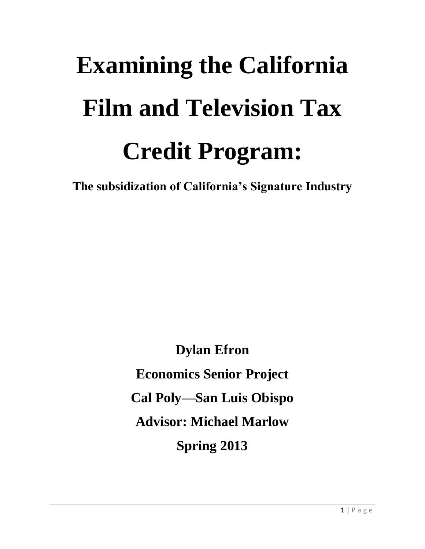# **Examining the California Film and Television Tax Credit Program:**

**The subsidization of California's Signature Industry**

**Dylan Efron Economics Senior Project Cal Poly—San Luis Obispo Advisor: Michael Marlow Spring 2013**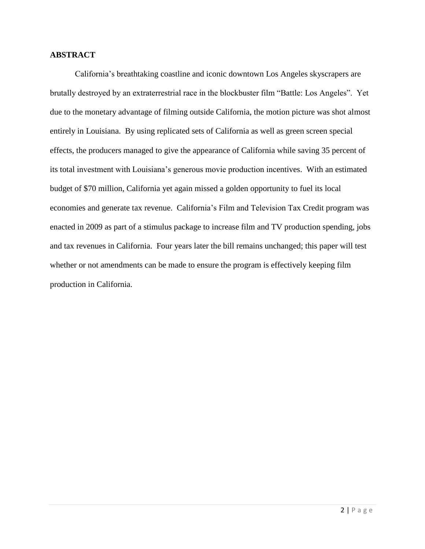#### **ABSTRACT**

California's breathtaking coastline and iconic downtown Los Angeles skyscrapers are brutally destroyed by an extraterrestrial race in the blockbuster film "Battle: Los Angeles". Yet due to the monetary advantage of filming outside California, the motion picture was shot almost entirely in Louisiana. By using replicated sets of California as well as green screen special effects, the producers managed to give the appearance of California while saving 35 percent of its total investment with Louisiana's generous movie production incentives. With an estimated budget of \$70 million, California yet again missed a golden opportunity to fuel its local economies and generate tax revenue. California's Film and Television Tax Credit program was enacted in 2009 as part of a stimulus package to increase film and TV production spending, jobs and tax revenues in California. Four years later the bill remains unchanged; this paper will test whether or not amendments can be made to ensure the program is effectively keeping film production in California.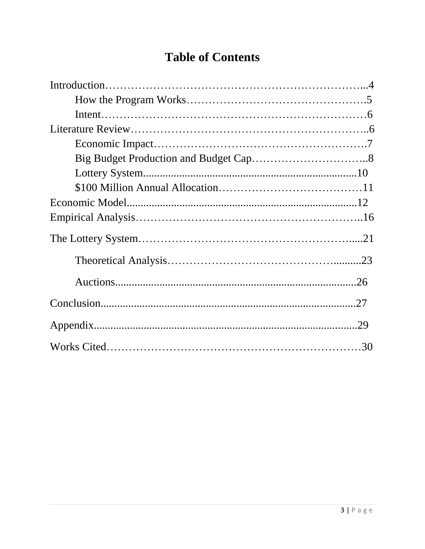# **Table of Contents**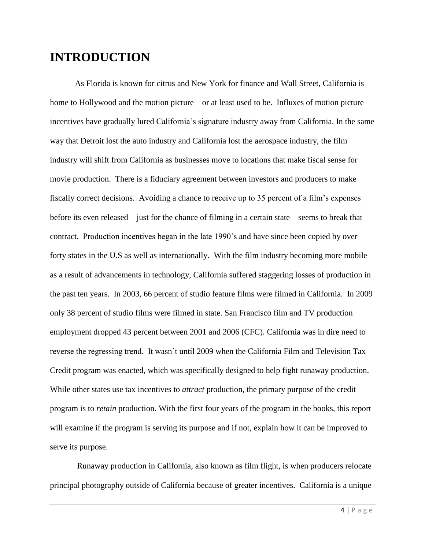# **INTRODUCTION**

As Florida is known for citrus and New York for finance and Wall Street, California is home to Hollywood and the motion picture—or at least used to be. Influxes of motion picture incentives have gradually lured California's signature industry away from California. In the same way that Detroit lost the auto industry and California lost the aerospace industry, the film industry will shift from California as businesses move to locations that make fiscal sense for movie production. There is a fiduciary agreement between investors and producers to make fiscally correct decisions. Avoiding a chance to receive up to 35 percent of a film's expenses before its even released—just for the chance of filming in a certain state—seems to break that contract. Production incentives began in the late 1990's and have since been copied by over forty states in the U.S as well as internationally. With the film industry becoming more mobile as a result of advancements in technology, California suffered staggering losses of production in the past ten years. In 2003, 66 percent of studio feature films were filmed in California. In 2009 only 38 percent of studio films were filmed in state. San Francisco film and TV production employment dropped 43 percent between 2001 and 2006 (CFC). California was in dire need to reverse the regressing trend. It wasn't until 2009 when the California Film and Television Tax Credit program was enacted, which was specifically designed to help fight runaway production. While other states use tax incentives to *attract* production, the primary purpose of the credit program is to *retain* production. With the first four years of the program in the books, this report will examine if the program is serving its purpose and if not, explain how it can be improved to serve its purpose.

Runaway production in California, also known as film flight, is when producers relocate principal photography outside of California because of greater incentives. California is a unique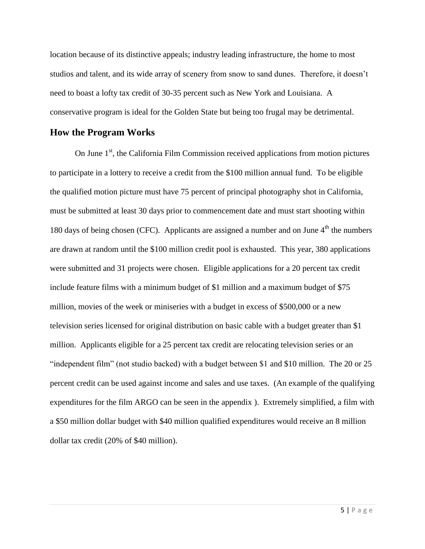location because of its distinctive appeals; industry leading infrastructure, the home to most studios and talent, and its wide array of scenery from snow to sand dunes. Therefore, it doesn't need to boast a lofty tax credit of 30-35 percent such as New York and Louisiana. A conservative program is ideal for the Golden State but being too frugal may be detrimental.

#### **How the Program Works**

On June  $1<sup>st</sup>$ , the California Film Commission received applications from motion pictures to participate in a lottery to receive a credit from the \$100 million annual fund. To be eligible the qualified motion picture must have 75 percent of principal photography shot in California, must be submitted at least 30 days prior to commencement date and must start shooting within 180 days of being chosen (CFC). Applicants are assigned a number and on June  $4<sup>th</sup>$  the numbers are drawn at random until the \$100 million credit pool is exhausted. This year, 380 applications were submitted and 31 projects were chosen. Eligible applications for a 20 percent tax credit include feature films with a minimum budget of \$1 million and a maximum budget of \$75 million, movies of the week or miniseries with a budget in excess of \$500,000 or a new television series licensed for original distribution on basic cable with a budget greater than \$1 million. Applicants eligible for a 25 percent tax credit are relocating television series or an "independent film" (not studio backed) with a budget between \$1 and \$10 million. The 20 or 25 percent credit can be used against income and sales and use taxes. (An example of the qualifying expenditures for the film ARGO can be seen in the appendix ). Extremely simplified, a film with a \$50 million dollar budget with \$40 million qualified expenditures would receive an 8 million dollar tax credit (20% of \$40 million).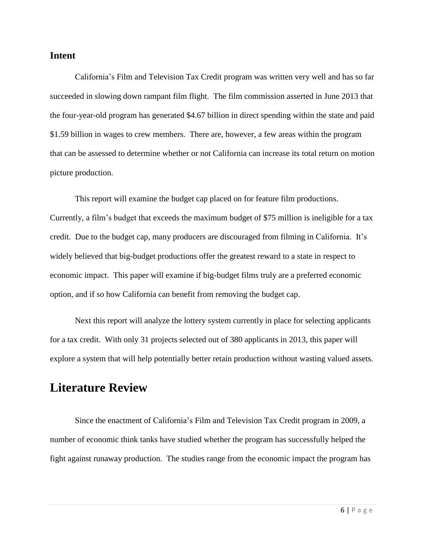#### **Intent**

California's Film and Television Tax Credit program was written very well and has so far succeeded in slowing down rampant film flight. The film commission asserted in June 2013 that the four-year-old program has generated \$4.67 billion in direct spending within the state and paid \$1.59 billion in wages to crew members. There are, however, a few areas within the program that can be assessed to determine whether or not California can increase its total return on motion picture production.

This report will examine the budget cap placed on for feature film productions. Currently, a film's budget that exceeds the maximum budget of \$75 million is ineligible for a tax credit. Due to the budget cap, many producers are discouraged from filming in California. It's widely believed that big-budget productions offer the greatest reward to a state in respect to economic impact. This paper will examine if big-budget films truly are a preferred economic option, and if so how California can benefit from removing the budget cap.

Next this report will analyze the lottery system currently in place for selecting applicants for a tax credit. With only 31 projects selected out of 380 applicants in 2013, this paper will explore a system that will help potentially better retain production without wasting valued assets.

# **Literature Review**

Since the enactment of California's Film and Television Tax Credit program in 2009, a number of economic think tanks have studied whether the program has successfully helped the fight against runaway production. The studies range from the economic impact the program has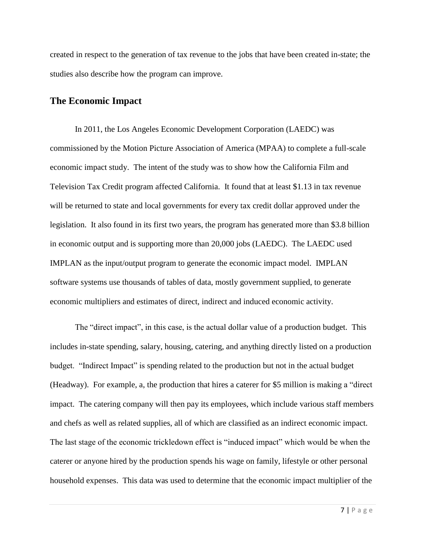created in respect to the generation of tax revenue to the jobs that have been created in-state; the studies also describe how the program can improve.

#### **The Economic Impact**

In 2011, the Los Angeles Economic Development Corporation (LAEDC) was commissioned by the Motion Picture Association of America (MPAA) to complete a full-scale economic impact study. The intent of the study was to show how the California Film and Television Tax Credit program affected California. It found that at least \$1.13 in tax revenue will be returned to state and local governments for every tax credit dollar approved under the legislation. It also found in its first two years, the program has generated more than \$3.8 billion in economic output and is supporting more than 20,000 jobs (LAEDC). The LAEDC used IMPLAN as the input/output program to generate the economic impact model. IMPLAN software systems use thousands of tables of data, mostly government supplied, to generate economic multipliers and estimates of direct, indirect and induced economic activity.

The "direct impact", in this case, is the actual dollar value of a production budget. This includes in-state spending, salary, housing, catering, and anything directly listed on a production budget. "Indirect Impact" is spending related to the production but not in the actual budget (Headway). For example, a, the production that hires a caterer for \$5 million is making a "direct impact. The catering company will then pay its employees, which include various staff members and chefs as well as related supplies, all of which are classified as an indirect economic impact. The last stage of the economic trickledown effect is "induced impact" which would be when the caterer or anyone hired by the production spends his wage on family, lifestyle or other personal household expenses. This data was used to determine that the economic impact multiplier of the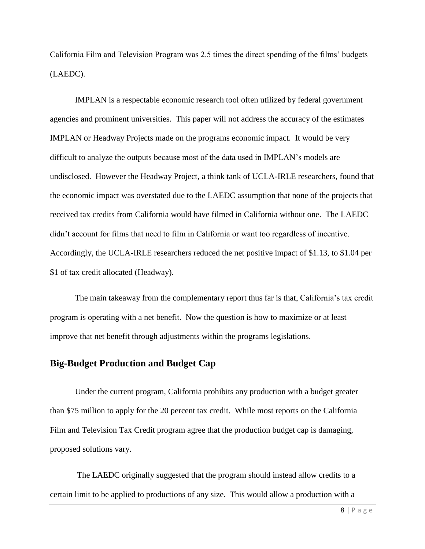California Film and Television Program was 2.5 times the direct spending of the films' budgets (LAEDC).

IMPLAN is a respectable economic research tool often utilized by federal government agencies and prominent universities. This paper will not address the accuracy of the estimates IMPLAN or Headway Projects made on the programs economic impact. It would be very difficult to analyze the outputs because most of the data used in IMPLAN's models are undisclosed. However the Headway Project, a think tank of UCLA-IRLE researchers, found that the economic impact was overstated due to the LAEDC assumption that none of the projects that received tax credits from California would have filmed in California without one. The LAEDC didn't account for films that need to film in California or want too regardless of incentive. Accordingly, the UCLA-IRLE researchers reduced the net positive impact of \$1.13, to \$1.04 per \$1 of tax credit allocated (Headway).

The main takeaway from the complementary report thus far is that, California's tax credit program is operating with a net benefit. Now the question is how to maximize or at least improve that net benefit through adjustments within the programs legislations.

#### **Big-Budget Production and Budget Cap**

Under the current program, California prohibits any production with a budget greater than \$75 million to apply for the 20 percent tax credit. While most reports on the California Film and Television Tax Credit program agree that the production budget cap is damaging, proposed solutions vary.

The LAEDC originally suggested that the program should instead allow credits to a certain limit to be applied to productions of any size. This would allow a production with a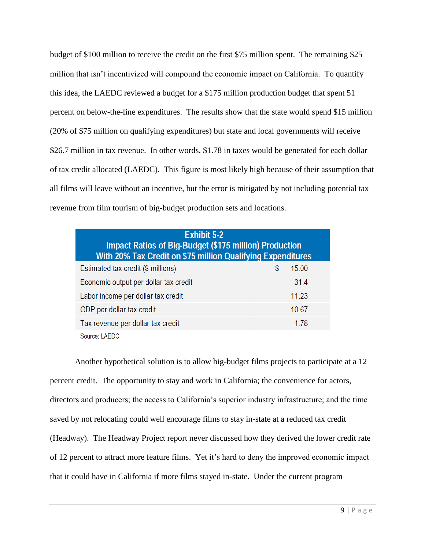budget of \$100 million to receive the credit on the first \$75 million spent. The remaining \$25 million that isn't incentivized will compound the economic impact on California. To quantify this idea, the LAEDC reviewed a budget for a \$175 million production budget that spent 51 percent on below-the-line expenditures. The results show that the state would spend \$15 million (20% of \$75 million on qualifying expenditures) but state and local governments will receive \$26.7 million in tax revenue. In other words, \$1.78 in taxes would be generated for each dollar of tax credit allocated (LAEDC). This figure is most likely high because of their assumption that all films will leave without an incentive, but the error is mitigated by not including potential tax revenue from film tourism of big-budget production sets and locations.

| <b>Exhibit 5-2</b><br><b>Impact Ratios of Big-Budget (\$175 million) Production</b><br>With 20% Tax Credit on \$75 million Qualifying Expenditures |            |  |  |  |  |  |
|----------------------------------------------------------------------------------------------------------------------------------------------------|------------|--|--|--|--|--|
| Estimated tax credit (\$ millions)                                                                                                                 | 15.00<br>S |  |  |  |  |  |
| Economic output per dollar tax credit                                                                                                              | 31.4       |  |  |  |  |  |
| Labor income per dollar tax credit                                                                                                                 | 11.23      |  |  |  |  |  |
| GDP per dollar tax credit                                                                                                                          | 10.67      |  |  |  |  |  |
| Tax revenue per dollar tax credit                                                                                                                  | 1.78       |  |  |  |  |  |
| Source: LAEDC                                                                                                                                      |            |  |  |  |  |  |

Another hypothetical solution is to allow big-budget films projects to participate at a 12 percent credit. The opportunity to stay and work in California; the convenience for actors, directors and producers; the access to California's superior industry infrastructure; and the time saved by not relocating could well encourage films to stay in-state at a reduced tax credit (Headway). The Headway Project report never discussed how they derived the lower credit rate of 12 percent to attract more feature films. Yet it's hard to deny the improved economic impact that it could have in California if more films stayed in-state. Under the current program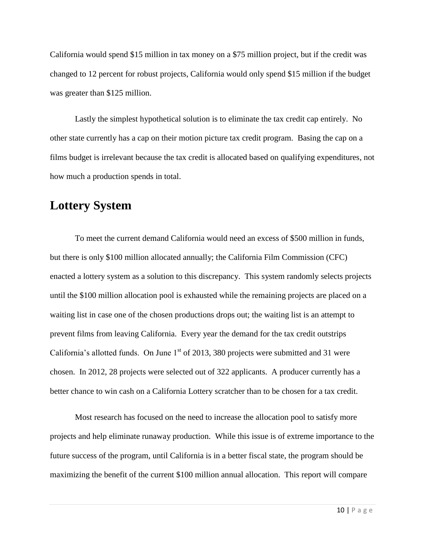California would spend \$15 million in tax money on a \$75 million project, but if the credit was changed to 12 percent for robust projects, California would only spend \$15 million if the budget was greater than \$125 million.

Lastly the simplest hypothetical solution is to eliminate the tax credit cap entirely. No other state currently has a cap on their motion picture tax credit program. Basing the cap on a films budget is irrelevant because the tax credit is allocated based on qualifying expenditures, not how much a production spends in total.

## **Lottery System**

To meet the current demand California would need an excess of \$500 million in funds, but there is only \$100 million allocated annually; the California Film Commission (CFC) enacted a lottery system as a solution to this discrepancy. This system randomly selects projects until the \$100 million allocation pool is exhausted while the remaining projects are placed on a waiting list in case one of the chosen productions drops out; the waiting list is an attempt to prevent films from leaving California. Every year the demand for the tax credit outstrips California's allotted funds. On June  $1<sup>st</sup>$  of 2013, 380 projects were submitted and 31 were chosen. In 2012, 28 projects were selected out of 322 applicants. A producer currently has a better chance to win cash on a California Lottery scratcher than to be chosen for a tax credit.

Most research has focused on the need to increase the allocation pool to satisfy more projects and help eliminate runaway production. While this issue is of extreme importance to the future success of the program, until California is in a better fiscal state, the program should be maximizing the benefit of the current \$100 million annual allocation. This report will compare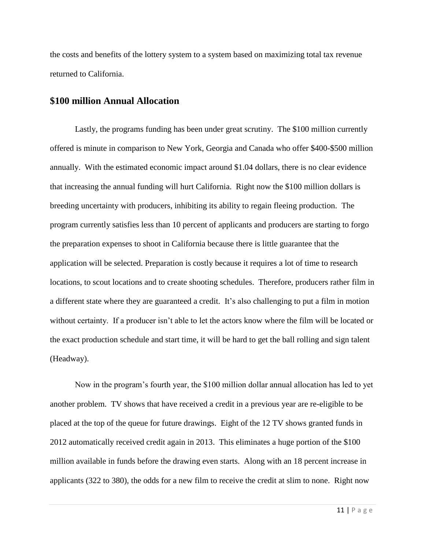the costs and benefits of the lottery system to a system based on maximizing total tax revenue returned to California.

#### **\$100 million Annual Allocation**

Lastly, the programs funding has been under great scrutiny. The \$100 million currently offered is minute in comparison to New York, Georgia and Canada who offer \$400-\$500 million annually. With the estimated economic impact around \$1.04 dollars, there is no clear evidence that increasing the annual funding will hurt California. Right now the \$100 million dollars is breeding uncertainty with producers, inhibiting its ability to regain fleeing production. The program currently satisfies less than 10 percent of applicants and producers are starting to forgo the preparation expenses to shoot in California because there is little guarantee that the application will be selected. Preparation is costly because it requires a lot of time to research locations, to scout locations and to create shooting schedules. Therefore, producers rather film in a different state where they are guaranteed a credit. It's also challenging to put a film in motion without certainty. If a producer isn't able to let the actors know where the film will be located or the exact production schedule and start time, it will be hard to get the ball rolling and sign talent (Headway).

Now in the program's fourth year, the \$100 million dollar annual allocation has led to yet another problem. TV shows that have received a credit in a previous year are re-eligible to be placed at the top of the queue for future drawings. Eight of the 12 TV shows granted funds in 2012 automatically received credit again in 2013. This eliminates a huge portion of the \$100 million available in funds before the drawing even starts. Along with an 18 percent increase in applicants (322 to 380), the odds for a new film to receive the credit at slim to none. Right now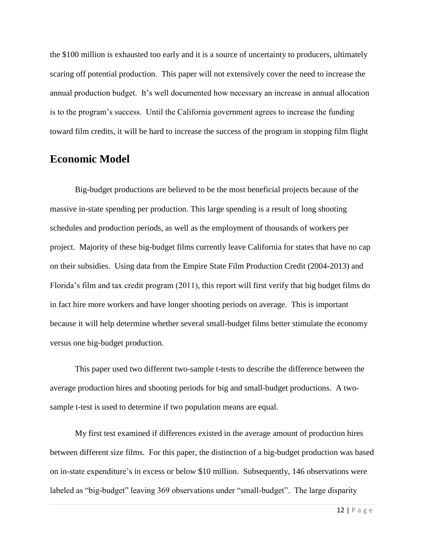the \$100 million is exhausted too early and it is a source of uncertainty to producers, ultimately scaring off potential production. This paper will not extensively cover the need to increase the annual production budget. It's well documented how necessary an increase in annual allocation is to the program's success. Until the California government agrees to increase the funding toward film credits, it will be hard to increase the success of the program in stopping film flight

## **Economic Model**

Big-budget productions are believed to be the most beneficial projects because of the massive in-state spending per production. This large spending is a result of long shooting schedules and production periods, as well as the employment of thousands of workers per project. Majority of these big-budget films currently leave California for states that have no cap on their subsidies. Using data from the Empire State Film Production Credit (2004-2013) and Florida's film and tax credit program (2011), this report will first verify that big budget films do in fact hire more workers and have longer shooting periods on average. This is important because it will help determine whether several small-budget films better stimulate the economy versus one big-budget production.

This paper used two different two-sample t-tests to describe the difference between the average production hires and shooting periods for big and small-budget productions. A twosample t-test is used to determine if two population means are equal.

My first test examined if differences existed in the average amount of production hires between different size films. For this paper, the distinction of a big-budget production was based on in-state expenditure's in excess or below \$10 million. Subsequently, 146 observations were labeled as "big-budget" leaving 369 observations under "small-budget". The large disparity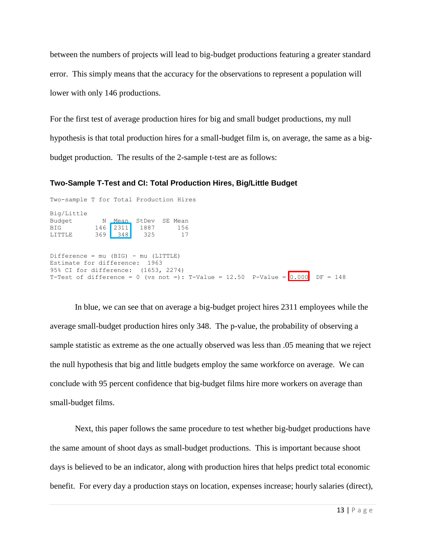between the numbers of projects will lead to big-budget productions featuring a greater standard error. This simply means that the accuracy for the observations to represent a population will lower with only 146 productions.

For the first test of average production hires for big and small budget productions, my null hypothesis is that total production hires for a small-budget film is, on average, the same as a bigbudget production. The results of the 2-sample t-test are as follows:

#### **Two-Sample T-Test and CI: Total Production Hires, Big/Little Budget**

Two-sample T for Total Production Hires Big/Little Budget N Mean StDev SE Mean BIG 146 2311 1887 156 BIG 146 2311 1887<br>LITTLE 369 348 325 LITTLE 369 348 325 17 Difference = mu (BIG) - mu (LITTLE) Estimate for difference: 1963 95% CI for difference: (1653, 2274) T-Test of difference = 0 (vs not =): T-Value =  $12.50$  P-Value =  $\boxed{0.000}$  DF = 148

In blue, we can see that on average a big-budget project hires 2311 employees while the average small-budget production hires only 348. The p-value, the probability of observing a sample statistic as extreme as the one actually observed was less than .05 meaning that we reject the null hypothesis that big and little budgets employ the same workforce on average. We can conclude with 95 percent confidence that big-budget films hire more workers on average than small-budget films.

Next, this paper follows the same procedure to test whether big-budget productions have the same amount of shoot days as small-budget productions. This is important because shoot days is believed to be an indicator, along with production hires that helps predict total economic benefit. For every day a production stays on location, expenses increase; hourly salaries (direct),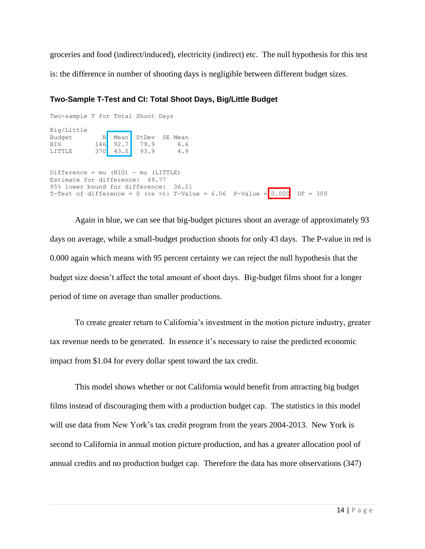groceries and food (indirect/induced), electricity (indirect) etc. The null hypothesis for this test is: the difference in number of shooting days is negligible between different budget sizes.

#### **Two-Sample T-Test and CI: Total Shoot Days, Big/Little Budget**

| Two-sample T for Total Shoot Days                                                |  |  |  |  |  |
|----------------------------------------------------------------------------------|--|--|--|--|--|
| Big/Little                                                                       |  |  |  |  |  |
| ig/Little<br>3udget N Mean StDev 5<br>BIG 146 92.7 79.9 6.6<br>370 43.0 93.9 4.9 |  |  |  |  |  |
|                                                                                  |  |  |  |  |  |
|                                                                                  |  |  |  |  |  |
|                                                                                  |  |  |  |  |  |
| $Difference = mu (BIG) - mu (LITILE)$<br>Estimate for difference: 49.77          |  |  |  |  |  |
| 95% lower bound for difference: 36.21                                            |  |  |  |  |  |
| T-Test of difference = 0 (vs >): T-Value = 6.06 P-Value = 0.000 DF = 309         |  |  |  |  |  |

Again in blue, we can see that big-budget pictures shoot an average of approximately 93 days on average, while a small-budget production shoots for only 43 days. The P-value in red is 0.000 again which means with 95 percent certainty we can reject the null hypothesis that the budget size doesn't affect the total amount of shoot days. Big-budget films shoot for a longer period of time on average than smaller productions.

To create greater return to California's investment in the motion picture industry, greater tax revenue needs to be generated. In essence it's necessary to raise the predicted economic impact from \$1.04 for every dollar spent toward the tax credit.

This model shows whether or not California would benefit from attracting big budget films instead of discouraging them with a production budget cap. The statistics in this model will use data from New York's tax credit program from the years 2004-2013. New York is second to California in annual motion picture production, and has a greater allocation pool of annual credits and no production budget cap. Therefore the data has more observations (347)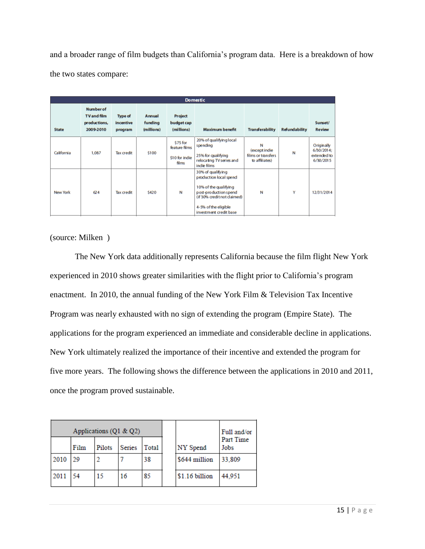and a broader range of film budgets than California's program data. Here is a breakdown of how the two states compare:

| <b>Domestic</b> |                                                                     |                                        |                                        |                                                      |                                                                                                                                                                                |                                                            |                      |                                                      |  |
|-----------------|---------------------------------------------------------------------|----------------------------------------|----------------------------------------|------------------------------------------------------|--------------------------------------------------------------------------------------------------------------------------------------------------------------------------------|------------------------------------------------------------|----------------------|------------------------------------------------------|--|
| <b>State</b>    | <b>Number of</b><br><b>TV and film</b><br>productions,<br>2009-2010 | <b>Type of</b><br>incentive<br>program | <b>Annual</b><br>funding<br>(millions) | Project<br>budget cap<br>(millions)                  | <b>Maximum benefit</b>                                                                                                                                                         | <b>Transferability</b>                                     | <b>Refundability</b> | Sunset/<br><b>Review</b>                             |  |
| California      | 1,087                                                               | <b>Tax credit</b>                      | \$100                                  | \$75 for<br>feature films<br>\$10 for indie<br>films | 20% of qualifying local<br>spending<br>25% for qualifying<br>relocating TV series and<br>indie films                                                                           | N<br>(except indie<br>films or transfers<br>to affiliates) | N                    | Originally<br>6/30/2014;<br>extended to<br>6/30/2015 |  |
| New York        | 624                                                                 | <b>Tax credit</b>                      | \$420                                  | N                                                    | 30% of qualifying<br>production local spend<br>10% of the qualifying<br>post-production spend<br>(if 30% credit not claimed)<br>4-5% of the eligible<br>investment credit base | N                                                          | Y                    | 12/31/2014                                           |  |

(source: Milken )

The New York data additionally represents California because the film flight New York experienced in 2010 shows greater similarities with the flight prior to California's program enactment. In 2010, the annual funding of the New York Film & Television Tax Incentive Program was nearly exhausted with no sign of extending the program (Empire State). The applications for the program experienced an immediate and considerable decline in applications. New York ultimately realized the importance of their incentive and extended the program for five more years. The following shows the difference between the applications in 2010 and 2011, once the program proved sustainable.

| Applications ( $Q1 & Q2$ ) |      |        |        |              |                | Full and/or       |  |
|----------------------------|------|--------|--------|--------------|----------------|-------------------|--|
|                            | Film | Pilots | Series | <b>Total</b> | NY Spend       | Part Time<br>Jobs |  |
| 2010                       | 20   |        |        | 38           | \$644 million  | 33.809            |  |
| 2011                       | 54   | 15     | 16     | 85           | \$1.16 billion | 44,951            |  |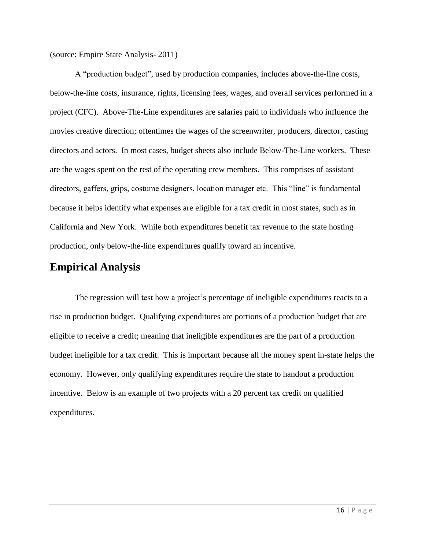(source: Empire State Analysis- 2011)

A "production budget", used by production companies, includes above-the-line costs, below-the-line costs, insurance, rights, licensing fees, wages, and overall services performed in a project (CFC). Above-The-Line expenditures are salaries paid to individuals who influence the movies creative direction; oftentimes the wages of the screenwriter, producers, director, casting directors and actors. In most cases, budget sheets also include Below-The-Line workers. These are the wages spent on the rest of the operating crew members. This comprises of assistant directors, gaffers, grips, costume designers, location manager etc. This "line" is fundamental because it helps identify what expenses are eligible for a tax credit in most states, such as in California and New York. While both expenditures benefit tax revenue to the state hosting production, only below-the-line expenditures qualify toward an incentive.

#### **Empirical Analysis**

The regression will test how a project's percentage of ineligible expenditures reacts to a rise in production budget. Qualifying expenditures are portions of a production budget that are eligible to receive a credit; meaning that ineligible expenditures are the part of a production budget ineligible for a tax credit. This is important because all the money spent in-state helps the economy. However, only qualifying expenditures require the state to handout a production incentive. Below is an example of two projects with a 20 percent tax credit on qualified expenditures.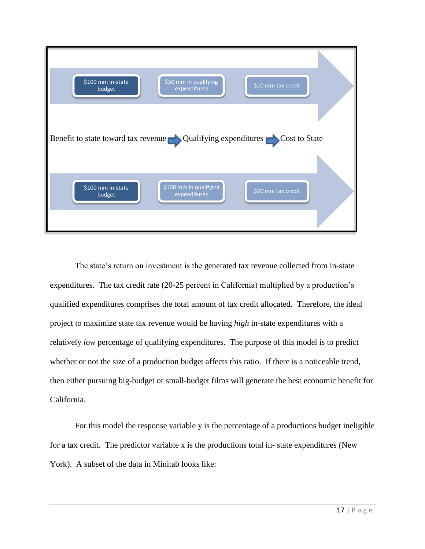

The state's return on investment is the generated tax revenue collected from in-state expenditures. The tax credit rate (20-25 percent in California) multiplied by a production's qualified expenditures comprises the total amount of tax credit allocated. Therefore, the ideal project to maximize state tax revenue would be having *high* in-state expenditures with a relatively *low* percentage of qualifying expenditures. The purpose of this model is to predict whether or not the size of a production budget affects this ratio. If there is a noticeable trend, then either pursuing big-budget or small-budget films will generate the best economic benefit for California.

For this model the response variable y is the percentage of a productions budget ineligible for a tax credit. The predictor variable x is the productions total in- state expenditures (New York). A subset of the data in Minitab looks like: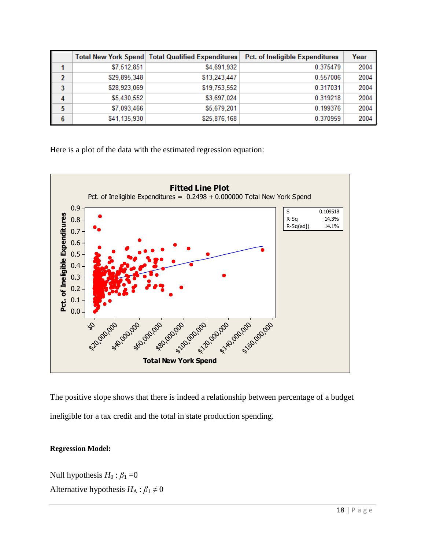|                |              | <b>Total New York Spend   Total Qualified Expenditures  </b> | Pct. of Ineligible Expenditures | Year |
|----------------|--------------|--------------------------------------------------------------|---------------------------------|------|
|                | \$7,512,851  | \$4,691,932                                                  | 0.375479                        | 2004 |
| 2              | \$29,895,348 | \$13,243,447                                                 | 0.557006                        | 2004 |
| 3              | \$28,923,069 | \$19,753,552                                                 | 0.317031                        | 2004 |
| $\overline{4}$ | \$5,430,552  | \$3,697,024                                                  | 0.319218                        | 2004 |
| 5              | \$7,093,466  | \$5,679,201                                                  | 0.199376                        | 2004 |
| 6              | \$41,135,930 | \$25,876,168                                                 | 0.370959                        | 2004 |

Here is a plot of the data with the estimated regression equation:



The positive slope shows that there is indeed a relationship between percentage of a budget ineligible for a tax credit and the total in state production spending.

#### **Regression Model:**

Null hypothesis  $H_0: \beta_1 = 0$ Alternative hypothesis  $H_A: \beta_1 \neq 0$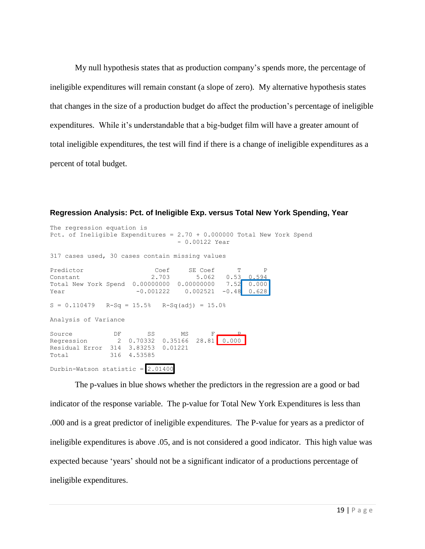My null hypothesis states that as production company's spends more, the percentage of ineligible expenditures will remain constant (a slope of zero). My alternative hypothesis states that changes in the size of a production budget do affect the production's percentage of ineligible expenditures. While it's understandable that a big-budget film will have a greater amount of total ineligible expenditures, the test will find if there is a change of ineligible expenditures as a percent of total budget.

**Regression Analysis: Pct. of Ineligible Exp. versus Total New York Spending, Year** 

```
The regression equation is
Pct. of Ineligible Expenditures = 2.70 + 0.000000 Total New York Spend
                            - 0.00122 Year
317 cases used, 30 cases contain missing values
Predictor Coef SE Coef T P
Constant 2.703 5.062 0.53 0.594
Total New York Spend 0.00000000 0.00000000 7.52 0.000
Year -0.001222 0.002521 -0.48 0.628
S = 0.110479 R-Sq = 15.5% R-Sq(adj) = 15.0%
Analysis of Variance
Source DF SS MS F<u>e P</u>
Regression 2 0.70332 0.35166 28.81 0.000
Residual Error 314 3.83253 0.01221
Total 316 4.53585
Durbin-Watson statistic = 2.01400
```
The p-values in blue shows whether the predictors in the regression are a good or bad indicator of the response variable. The p-value for Total New York Expenditures is less than .000 and is a great predictor of ineligible expenditures. The P-value for years as a predictor of ineligible expenditures is above .05, and is not considered a good indicator. This high value was expected because 'years' should not be a significant indicator of a productions percentage of ineligible expenditures.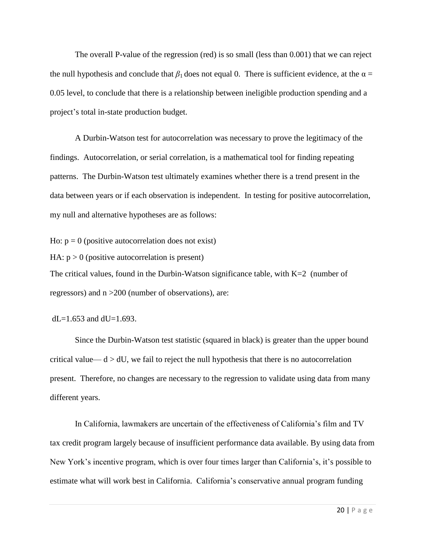The overall P-value of the regression (red) is so small (less than 0.001) that we can reject the null hypothesis and conclude that  $\beta_1$  does not equal 0. There is sufficient evidence, at the  $\alpha$  = 0.05 level, to conclude that there is a relationship between ineligible production spending and a project's total in-state production budget.

A Durbin-Watson test for autocorrelation was necessary to prove the legitimacy of the findings. Autocorrelation, or serial correlation, is a mathematical tool for finding repeating patterns. The Durbin-Watson test ultimately examines whether there is a trend present in the data between years or if each observation is independent. In testing for positive autocorrelation, my null and alternative hypotheses are as follows:

Ho:  $p = 0$  (positive autocorrelation does not exist)

HA:  $p > 0$  (positive autocorrelation is present)

The critical values, found in the Durbin-Watson significance table, with  $K=2$  (number of regressors) and n >200 (number of observations), are:

 $dL=1.653$  and  $dU=1.693$ .

Since the Durbin-Watson test statistic (squared in black) is greater than the upper bound critical value—  $d > dU$ , we fail to reject the null hypothesis that there is no autocorrelation present. Therefore, no changes are necessary to the regression to validate using data from many different years.

In California, lawmakers are uncertain of the effectiveness of California's film and TV tax credit program largely because of insufficient performance data available. By using data from New York's incentive program, which is over four times larger than California's, it's possible to estimate what will work best in California. California's conservative annual program funding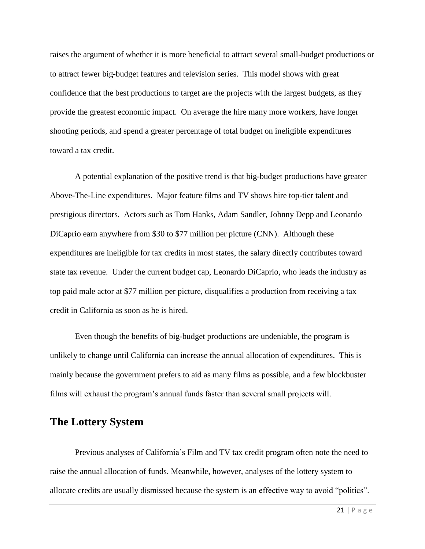raises the argument of whether it is more beneficial to attract several small-budget productions or to attract fewer big-budget features and television series. This model shows with great confidence that the best productions to target are the projects with the largest budgets, as they provide the greatest economic impact. On average the hire many more workers, have longer shooting periods, and spend a greater percentage of total budget on ineligible expenditures toward a tax credit.

A potential explanation of the positive trend is that big-budget productions have greater Above-The-Line expenditures. Major feature films and TV shows hire top-tier talent and prestigious directors. Actors such as Tom Hanks, Adam Sandler, Johnny Depp and Leonardo DiCaprio earn anywhere from \$30 to \$77 million per picture (CNN). Although these expenditures are ineligible for tax credits in most states, the salary directly contributes toward state tax revenue. Under the current budget cap, Leonardo DiCaprio, who leads the industry as top paid male actor at \$77 million per picture, disqualifies a production from receiving a tax credit in California as soon as he is hired.

Even though the benefits of big-budget productions are undeniable, the program is unlikely to change until California can increase the annual allocation of expenditures. This is mainly because the government prefers to aid as many films as possible, and a few blockbuster films will exhaust the program's annual funds faster than several small projects will.

### **The Lottery System**

Previous analyses of California's Film and TV tax credit program often note the need to raise the annual allocation of funds. Meanwhile, however, analyses of the lottery system to allocate credits are usually dismissed because the system is an effective way to avoid "politics".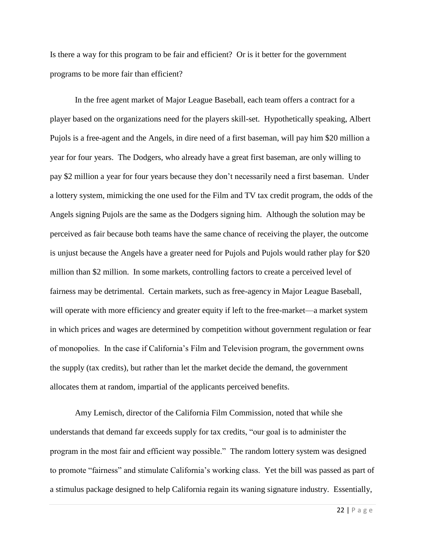Is there a way for this program to be fair and efficient? Or is it better for the government programs to be more fair than efficient?

In the free agent market of Major League Baseball, each team offers a contract for a player based on the organizations need for the players skill-set. Hypothetically speaking, Albert Pujols is a free-agent and the Angels, in dire need of a first baseman, will pay him \$20 million a year for four years. The Dodgers, who already have a great first baseman, are only willing to pay \$2 million a year for four years because they don't necessarily need a first baseman. Under a lottery system, mimicking the one used for the Film and TV tax credit program, the odds of the Angels signing Pujols are the same as the Dodgers signing him. Although the solution may be perceived as fair because both teams have the same chance of receiving the player, the outcome is unjust because the Angels have a greater need for Pujols and Pujols would rather play for \$20 million than \$2 million. In some markets, controlling factors to create a perceived level of fairness may be detrimental. Certain markets, such as free-agency in Major League Baseball, will operate with more efficiency and greater equity if left to the free-market—a market system in which prices and wages are determined by competition without government regulation or fear of monopolies. In the case if California's Film and Television program, the government owns the supply (tax credits), but rather than let the market decide the demand, the government allocates them at random, impartial of the applicants perceived benefits.

Amy Lemisch, director of the California Film Commission, noted that while she understands that demand far exceeds supply for tax credits, "our goal is to administer the program in the most fair and efficient way possible." The random lottery system was designed to promote "fairness" and stimulate California's working class. Yet the bill was passed as part of a stimulus package designed to help California regain its waning signature industry. Essentially,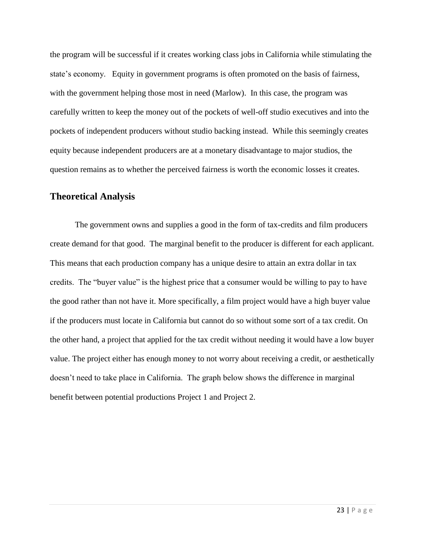the program will be successful if it creates working class jobs in California while stimulating the state's economy. Equity in government programs is often promoted on the basis of fairness, with the government helping those most in need (Marlow). In this case, the program was carefully written to keep the money out of the pockets of well-off studio executives and into the pockets of independent producers without studio backing instead. While this seemingly creates equity because independent producers are at a monetary disadvantage to major studios, the question remains as to whether the perceived fairness is worth the economic losses it creates.

#### **Theoretical Analysis**

The government owns and supplies a good in the form of tax-credits and film producers create demand for that good. The marginal benefit to the producer is different for each applicant. This means that each production company has a unique desire to attain an extra dollar in tax credits. The "buyer value" is the highest price that a consumer would be willing to pay to have the good rather than not have it. More specifically, a film project would have a high buyer value if the producers must locate in California but cannot do so without some sort of a tax credit. On the other hand, a project that applied for the tax credit without needing it would have a low buyer value. The project either has enough money to not worry about receiving a credit, or aesthetically doesn't need to take place in California. The graph below shows the difference in marginal benefit between potential productions Project 1 and Project 2.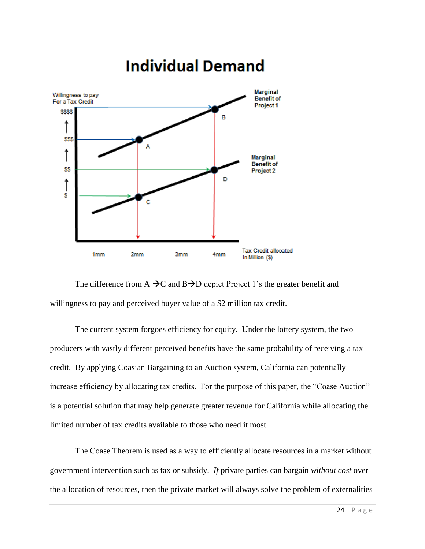

# **Individual Demand**

The difference from A  $\rightarrow$ C and B $\rightarrow$ D depict Project 1's the greater benefit and willingness to pay and perceived buyer value of a \$2 million tax credit.

The current system forgoes efficiency for equity. Under the lottery system, the two producers with vastly different perceived benefits have the same probability of receiving a tax credit. By applying Coasian Bargaining to an Auction system, California can potentially increase efficiency by allocating tax credits. For the purpose of this paper, the "Coase Auction" is a potential solution that may help generate greater revenue for California while allocating the limited number of tax credits available to those who need it most.

The Coase Theorem is used as a way to efficiently allocate resources in a market without government intervention such as tax or subsidy. *If* private parties can bargain *without cost* over the allocation of resources, then the private market will always solve the problem of externalities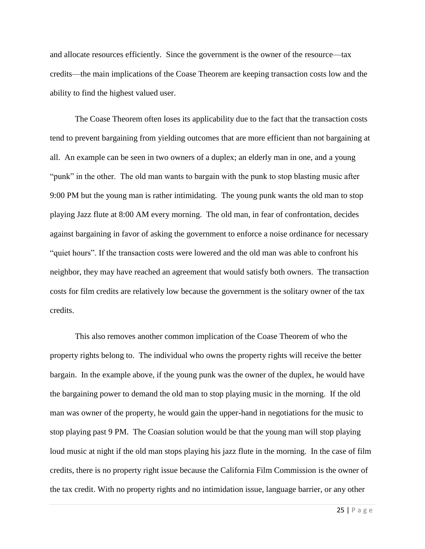and allocate resources efficiently. Since the government is the owner of the resource—tax credits—the main implications of the Coase Theorem are keeping transaction costs low and the ability to find the highest valued user.

The Coase Theorem often loses its applicability due to the fact that the transaction costs tend to prevent bargaining from yielding outcomes that are more efficient than not bargaining at all. An example can be seen in two owners of a duplex; an elderly man in one, and a young "punk" in the other. The old man wants to bargain with the punk to stop blasting music after 9:00 PM but the young man is rather intimidating. The young punk wants the old man to stop playing Jazz flute at 8:00 AM every morning. The old man, in fear of confrontation, decides against bargaining in favor of asking the government to enforce a noise ordinance for necessary "quiet hours". If the transaction costs were lowered and the old man was able to confront his neighbor, they may have reached an agreement that would satisfy both owners. The transaction costs for film credits are relatively low because the government is the solitary owner of the tax credits.

This also removes another common implication of the Coase Theorem of who the property rights belong to. The individual who owns the property rights will receive the better bargain. In the example above, if the young punk was the owner of the duplex, he would have the bargaining power to demand the old man to stop playing music in the morning. If the old man was owner of the property, he would gain the upper-hand in negotiations for the music to stop playing past 9 PM. The Coasian solution would be that the young man will stop playing loud music at night if the old man stops playing his jazz flute in the morning. In the case of film credits, there is no property right issue because the California Film Commission is the owner of the tax credit. With no property rights and no intimidation issue, language barrier, or any other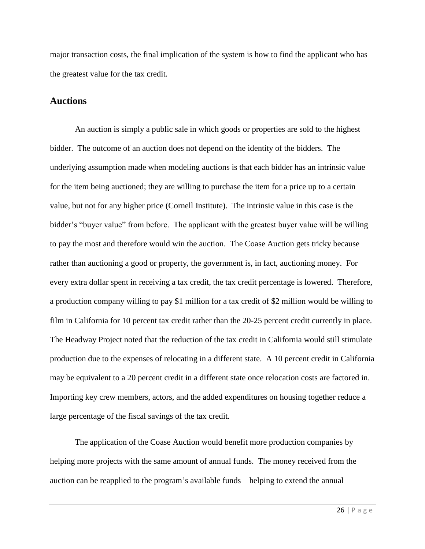major transaction costs, the final implication of the system is how to find the applicant who has the greatest value for the tax credit.

#### **Auctions**

An auction is simply a public sale in which goods or properties are sold to the highest bidder. The outcome of an auction does not depend on the identity of the bidders. The underlying assumption made when modeling auctions is that each bidder has an intrinsic value for the item being auctioned; they are willing to purchase the item for a price up to a certain value, but not for any higher price (Cornell Institute). The intrinsic value in this case is the bidder's "buyer value" from before. The applicant with the greatest buyer value will be willing to pay the most and therefore would win the auction. The Coase Auction gets tricky because rather than auctioning a good or property, the government is, in fact, auctioning money. For every extra dollar spent in receiving a tax credit, the tax credit percentage is lowered. Therefore, a production company willing to pay \$1 million for a tax credit of \$2 million would be willing to film in California for 10 percent tax credit rather than the 20-25 percent credit currently in place. The Headway Project noted that the reduction of the tax credit in California would still stimulate production due to the expenses of relocating in a different state. A 10 percent credit in California may be equivalent to a 20 percent credit in a different state once relocation costs are factored in. Importing key crew members, actors, and the added expenditures on housing together reduce a large percentage of the fiscal savings of the tax credit.

The application of the Coase Auction would benefit more production companies by helping more projects with the same amount of annual funds. The money received from the auction can be reapplied to the program's available funds—helping to extend the annual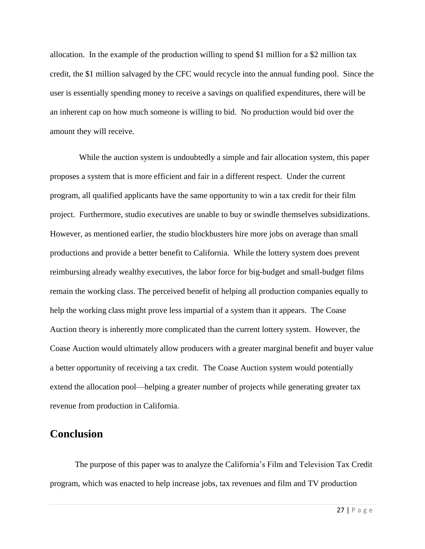allocation. In the example of the production willing to spend \$1 million for a \$2 million tax credit, the \$1 million salvaged by the CFC would recycle into the annual funding pool. Since the user is essentially spending money to receive a savings on qualified expenditures, there will be an inherent cap on how much someone is willing to bid. No production would bid over the amount they will receive.

 While the auction system is undoubtedly a simple and fair allocation system, this paper proposes a system that is more efficient and fair in a different respect. Under the current program, all qualified applicants have the same opportunity to win a tax credit for their film project. Furthermore, studio executives are unable to buy or swindle themselves subsidizations. However, as mentioned earlier, the studio blockbusters hire more jobs on average than small productions and provide a better benefit to California. While the lottery system does prevent reimbursing already wealthy executives, the labor force for big-budget and small-budget films remain the working class. The perceived benefit of helping all production companies equally to help the working class might prove less impartial of a system than it appears. The Coase Auction theory is inherently more complicated than the current lottery system. However, the Coase Auction would ultimately allow producers with a greater marginal benefit and buyer value a better opportunity of receiving a tax credit. The Coase Auction system would potentially extend the allocation pool—helping a greater number of projects while generating greater tax revenue from production in California.

## **Conclusion**

The purpose of this paper was to analyze the California's Film and Television Tax Credit program, which was enacted to help increase jobs, tax revenues and film and TV production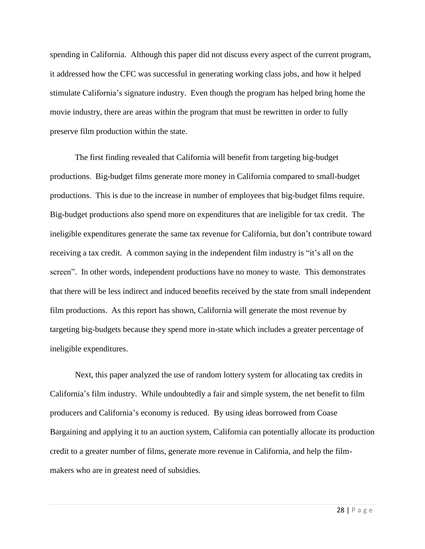spending in California. Although this paper did not discuss every aspect of the current program, it addressed how the CFC was successful in generating working class jobs, and how it helped stimulate California's signature industry. Even though the program has helped bring home the movie industry, there are areas within the program that must be rewritten in order to fully preserve film production within the state.

The first finding revealed that California will benefit from targeting big-budget productions. Big-budget films generate more money in California compared to small-budget productions. This is due to the increase in number of employees that big-budget films require. Big-budget productions also spend more on expenditures that are ineligible for tax credit. The ineligible expenditures generate the same tax revenue for California, but don't contribute toward receiving a tax credit. A common saying in the independent film industry is "it's all on the screen". In other words, independent productions have no money to waste. This demonstrates that there will be less indirect and induced benefits received by the state from small independent film productions. As this report has shown, California will generate the most revenue by targeting big-budgets because they spend more in-state which includes a greater percentage of ineligible expenditures.

Next, this paper analyzed the use of random lottery system for allocating tax credits in California's film industry. While undoubtedly a fair and simple system, the net benefit to film producers and California's economy is reduced. By using ideas borrowed from Coase Bargaining and applying it to an auction system, California can potentially allocate its production credit to a greater number of films, generate more revenue in California, and help the filmmakers who are in greatest need of subsidies.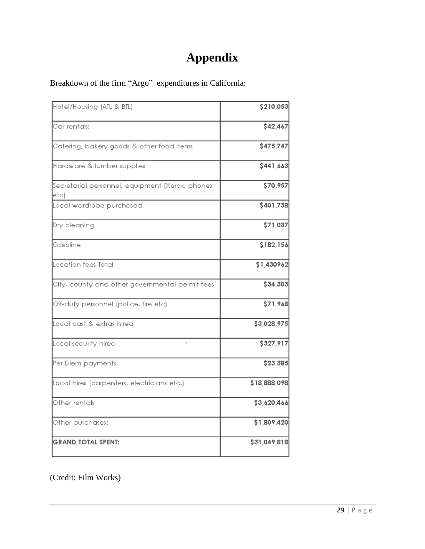# **Appendix**

Breakdown of the firm "Argo" expenditures in California:

| Hotel/Housing (ATL & BTL)                                | \$210,053    |
|----------------------------------------------------------|--------------|
| Car rentals:                                             | \$42,467     |
| Catering, bakery goods & other food items                | \$475,747    |
| Hardware & lumber supplies                               | \$441,663    |
| Secretarial personnel, equipment (Xerox, phones<br>letc) | \$70,957     |
| Local wardrobe purchased                                 | \$401,738    |
| Dry cleaning                                             | \$71,037     |
| Gasoline                                                 | \$182,156    |
| Location fees-Total                                      | \$1,430962   |
| City, county and other governmental permit fees          | \$34,303     |
| Off-duty personnel (police, fire etc)                    | \$71,968     |
| Local cast & extras hired                                | \$3,028,975  |
| Local security hired                                     | \$327,917    |
| Per Diem payments                                        | \$23,385     |
| Local hires (carpenters, electricians etc.)              | \$18,888,098 |
| Other rentals                                            | \$3,620,466  |
| Other purchases:                                         | \$1,809,420  |
| <b>GRAND TOTAL SPENT:</b>                                | \$31,049,818 |
|                                                          |              |

(Credit: Film Works)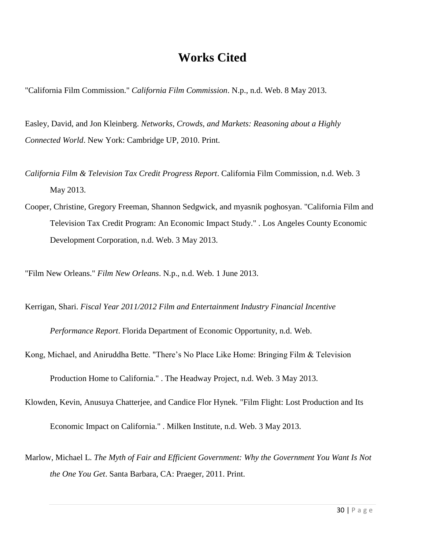# **Works Cited**

"California Film Commission." *California Film Commission*. N.p., n.d. Web. 8 May 2013.

Easley, David, and Jon Kleinberg. *Networks, Crowds, and Markets: Reasoning about a Highly Connected World*. New York: Cambridge UP, 2010. Print.

- *California Film & Television Tax Credit Progress Report*. California Film Commission, n.d. Web. 3 May 2013.
- Cooper, Christine, Gregory Freeman, Shannon Sedgwick, and myasnik poghosyan. "California Film and Television Tax Credit Program: An Economic Impact Study." . Los Angeles County Economic Development Corporation, n.d. Web. 3 May 2013.

"Film New Orleans." *Film New Orleans*. N.p., n.d. Web. 1 June 2013.

Kerrigan, Shari. *Fiscal Year 2011/2012 Film and Entertainment Industry Financial Incentive* 

*Performance Report*. Florida Department of Economic Opportunity, n.d. Web.

Kong, Michael, and Aniruddha Bette. "There's No Place Like Home: Bringing Film & Television

Production Home to California." . The Headway Project, n.d. Web. 3 May 2013.

Klowden, Kevin, Anusuya Chatterjee, and Candice Flor Hynek. "Film Flight: Lost Production and Its

Economic Impact on California." . Milken Institute, n.d. Web. 3 May 2013.

Marlow, Michael L. *The Myth of Fair and Efficient Government: Why the Government You Want Is Not the One You Get*. Santa Barbara, CA: Praeger, 2011. Print.